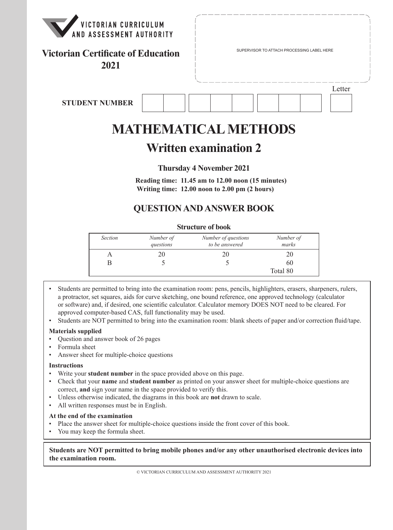

# **Victorian Certificate of Education** Figure Results SUPERVISOR TO ATTACH PROCESSING LABEL HERE

**2021**

**STUDENT NUMBER**



# **MATHEMATICAL METHODS**

## **Written examination 2**

## **Thursday 4 November 2021**

**Reading time: 11.45 am to 12.00 noon (15 minutes) Writing time: 12.00 noon to 2.00 pm (2 hours)**

## **QUESTION AND ANSWER BOOK**

#### **Structure of book**

| <b>Section</b> | Number of<br>questions | Number of questions<br>to be answered | Number of<br>marks |
|----------------|------------------------|---------------------------------------|--------------------|
|                |                        |                                       |                    |
|                |                        |                                       | 60                 |
|                |                        |                                       | Total 80           |

- Students are permitted to bring into the examination room: pens, pencils, highlighters, erasers, sharpeners, rulers, a protractor, set squares, aids for curve sketching, one bound reference, one approved technology (calculator or software) and, if desired, one scientific calculator. Calculator memory DOES NOT need to be cleared. For approved computer-based CAS, full functionality may be used.
- Students are NOT permitted to bring into the examination room: blank sheets of paper and/or correction fluid/tape.

#### **Materials supplied**

- Question and answer book of 26 pages
- Formula sheet
- Answer sheet for multiple-choice questions

#### **Instructions**

- Write your **student number** in the space provided above on this page.
- Check that your **name** and **student number** as printed on your answer sheet for multiple-choice questions are correct, **and** sign your name in the space provided to verify this.
- Unless otherwise indicated, the diagrams in this book are **not** drawn to scale.
- All written responses must be in English.

#### **At the end of the examination**

- Place the answer sheet for multiple-choice questions inside the front cover of this book.
- You may keep the formula sheet.

#### **Students are NOT permitted to bring mobile phones and/or any other unauthorised electronic devices into the examination room.**

© VICTORIAN CURRICULUM AND ASSESSMENT AUTHORITY 2021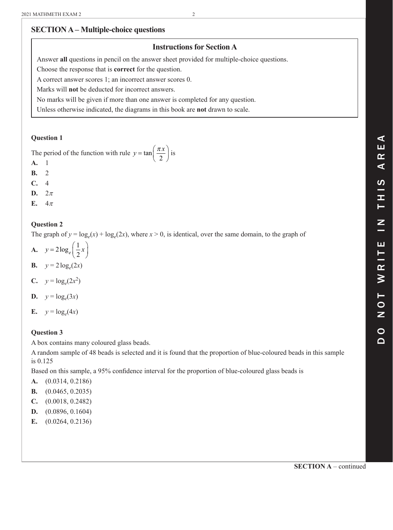## **SECTION A – Multiple-choice questions**

## **Instructions for Section A**

Answer **all** questions in pencil on the answer sheet provided for multiple-choice questions.

Choose the response that is **correct** for the question.

A correct answer scores 1; an incorrect answer scores 0.

Marks will **not** be deducted for incorrect answers.

No marks will be given if more than one answer is completed for any question.

Unless otherwise indicated, the diagrams in this book are **not** drawn to scale.

#### **Question 1**

The period of the function with rule  $y = \tan \left( \frac{\pi x}{2} \right)$  $\tan\left(\frac{\pi x}{2}\right)$ 2 is

- **A.** 1
- **B.** 2
- **C.** 4
- D.  $2\pi$
- **E.**  $4\pi$

### **Question 2**

The graph of  $y = log_e(x) + log_e(2x)$ , where  $x > 0$ , is identical, over the same domain, to the graph of

- **A.**  $y = 2\log_e\left(\frac{1}{2}x\right)$ log
- **B.**  $y = 2\log_e(2x)$
- **C.**  $y = \log_e(2x^2)$
- **D.**  $y = log_e(3x)$
- **E.**  $y = log_e(4x)$

## **Question 3**

A box contains many coloured glass beads.

A random sample of 48 beads is selected and it is found that the proportion of blue-coloured beads in this sample is 0.125

Based on this sample, a 95% confidence interval for the proportion of blue-coloured glass beads is

- **A.** (0.0314, 0.2186)
- **B.** (0.0465, 0.2035)
- **C.** (0.0018, 0.2482)
- **D.** (0.0896, 0.1604)
- **E.** (0.0264, 0.2136)

**SECTION A** – continued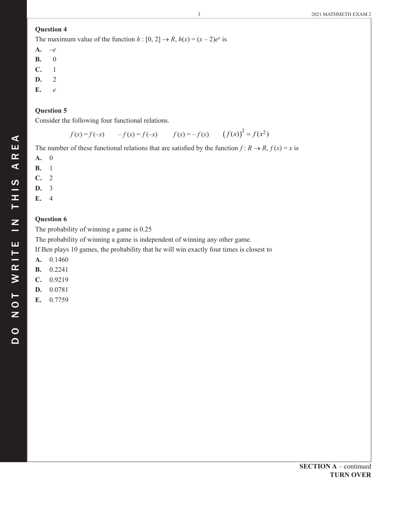The maximum value of the function  $h : [0, 2] \rightarrow R$ ,  $h(x) = (x - 2)e^x$  is

- **A.** –*e* **B.** 0 **C.** 1
- **D.** 2
- **E.** *e*

#### **Question 5**

Consider the following four functional relations.

 $f(x) = f(-x)$   $-f(x) = f(-x)$   $f(x) = -f(x)$   $(f(x))^{2} = f(x^{2})$ 

The number of these functional relations that are satisfied by the function  $f: R \to R$ ,  $f(x) = x$  is

- **A.** 0
- **B.** 1
- **C.** 2
- **D.** 3
- **E.** 4

#### **Question 6**

The probability of winning a game is 0.25

The probability of winning a game is independent of winning any other game.

If Ben plays 10 games, the probability that he will win exactly four times is closest to

- **A.** 0.1460
- **B.** 0.2241
- **C.** 0.9219
- **D.** 0.0781
- **E.** 0.7759

 $\blacktriangleleft$ ш  $\alpha$  $\blacktriangleleft$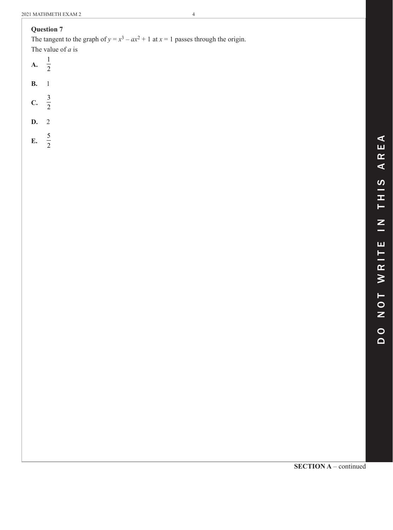The tangent to the graph of  $y = x^3 - ax^2 + 1$  at  $x = 1$  passes through the origin. The value of *a* is

- **A.** 1 2
- **B.** 1
- 3
- **C.** 2
- **D.** 2
- **E.** 5 2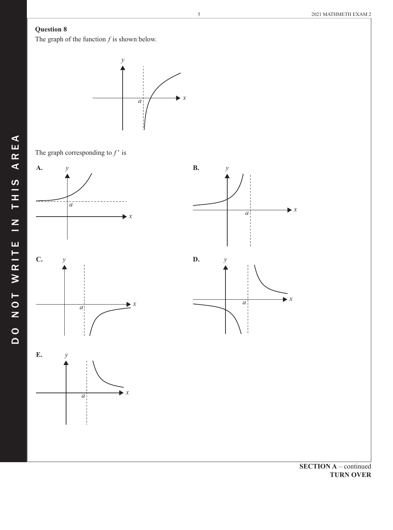The graph of the function *f* is shown below.



The graph corresponding to  $f'$  is



**TURN OVER**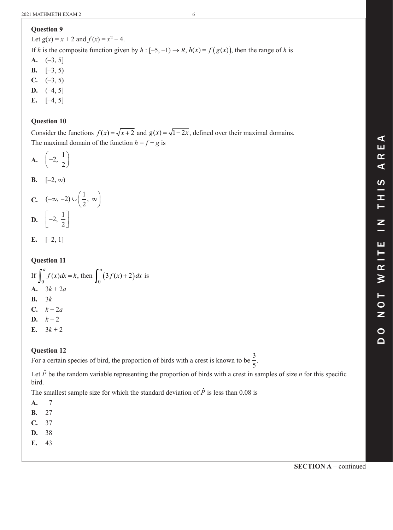Let  $g(x) = x + 2$  and  $f(x) = x^2 - 4$ .

If *h* is the composite function given by  $h : [-5, -1) \rightarrow R$ ,  $h(x) = f(g(x))$ , then the range of *h* is

**A.** (–3, 5]

- **B.**  $[-3, 5)$
- **C.**  $(-3, 5)$
- **D.**  $(-4, 5]$
- **E.** [–4, 5]

## **Question 10**

Consider the functions  $f(x) = \sqrt{x+2}$  and  $g(x) = \sqrt{1-2x}$ , defined over their maximal domains. The maximal domain of the function  $h = f + g$  is

$$
A. \quad \left(-2, \frac{1}{2}\right)
$$

$$
\mathbf{B.} \quad [-2, \infty)
$$

**C.** 
$$
(-\infty, -2) \cup \left(\frac{1}{2}, \infty\right)
$$
  
**D.**  $\left[-2, \frac{1}{2}\right]$ 

**E.**  $[-2, 1]$ 

## **Question 11**

If  $\int_0^a f(x)dx = k$ , then  $\int_0^a (3f(x) + 2)$  $\boldsymbol{0}$  $\int_0^a (3f(x)+2)dx$  is **A.**  $3k + 2a$ **B.** 3*k* **C.**  $k + 2a$ **D.**  $k + 2$ **E.**  $3k + 2$ 

## **Question 12**

For a certain species of bird, the proportion of birds with a crest is known to be  $\frac{3}{5}$ .

Let  $\hat{P}$  be the random variable representing the proportion of birds with a crest in samples of size *n* for this specific bird.

The smallest sample size for which the standard deviation of  $\hat{P}$  is less than 0.08 is

- **A.** 7
- **B.** 27
- **C.** 37
- **D.** 38
- **E.** 43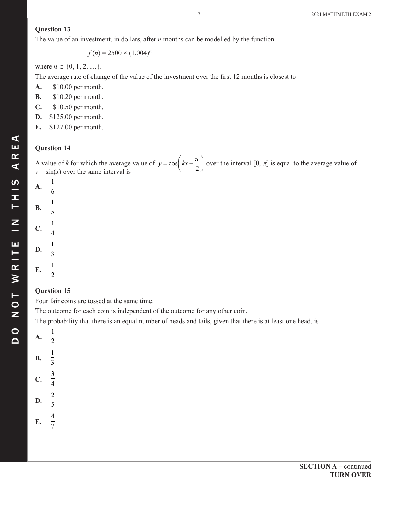The value of an investment, in dollars, after *n* months can be modelled by the function

 $f(n) = 2500 \times (1.004)^n$ 

where  $n \in \{0, 1, 2, ...\}$ .

The average rate of change of the value of the investment over the first 12 months is closest to

- **A.** \$10.00 per month.
- **B.** \$10.20 per month.
- **C.** \$10.50 per month.
- **D.** \$125.00 per month.
- **E.** \$127.00 per month.

#### **Question 14**

A value of *k* for which the average value of  $y = cos \left( kx - \frac{1}{x} \right)$  $\cos\left(kx-\frac{\pi}{2}\right)$ 2 over the interval  $[0, \pi]$  is equal to the average value of  $y = sin(x)$  over the same interval is

| <b>A.</b> $\frac{1}{6}$<br><b>B.</b> $\frac{1}{5}$ |  |  |  |  |
|----------------------------------------------------|--|--|--|--|
|                                                    |  |  |  |  |
| C. $\frac{1}{4}$<br>D. $\frac{1}{3}$               |  |  |  |  |
| $\mathbb{R}^{\mathbb{Z}}$                          |  |  |  |  |

#### **Question 15**

Four fair coins are tossed at the same time.

The outcome for each coin is independent of the outcome for any other coin.

The probability that there is an equal number of heads and tails, given that there is at least one head, is

| A         | $\mathbf{1}$<br>$\frac{1}{2}$ |
|-----------|-------------------------------|
| <b>B.</b> | $\frac{1}{3}$                 |
| C.        | $\frac{3}{4}$                 |
| D.        | $rac{2}{5}$                   |
| E.        | $\frac{4}{7}$                 |

DO NOT WRITE IN THIS AREA

NOT WRITE IN THIS

 $\circ$  $\Omega$ 

 $\blacktriangleleft$ 

ARE,

#### **SECTION A** – continued **TURN OVER**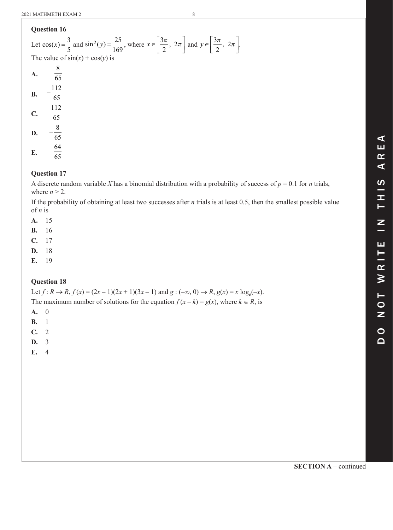Let  $cos(x) = \frac{3}{5}$ 5 and  $\sin^2(y) = \frac{25}{169}$ , where  $x \in$  $\left[\frac{3\pi}{2}, 2\pi\right]$ 3 2  $\frac{\pi}{2}$ ,  $2\pi$  and  $y \in$  $\left[\frac{3\pi}{2}, 2\pi\right]$ 3 2  $\frac{\pi}{2}$ ,  $2\pi$ . The value of  $sin(x) + cos(y)$  is  $\mathbf{A.} \qquad \frac{8}{6}$  $\frac{1}{65}$ **B.**  $-\frac{112}{65}$ 65 **C.**  $\frac{112}{65}$  $\overline{65}$ **D.**  $-\frac{8}{65}$  $\overline{65}$ 

**E.**  $\frac{64}{65}$ 

#### **Question 17**

A discrete random variable *X* has a binomial distribution with a probability of success of  $p = 0.1$  for *n* trials, where  $n > 2$ .

If the probability of obtaining at least two successes after *n* trials is at least 0.5, then the smallest possible value of *n* is

**A.** 15

- **B.** 16
- **C.** 17
- **D.** 18
- **E.** 19

#### **Question 18**

Let  $f: R \to R$ ,  $f(x) = (2x - 1)(2x + 1)(3x - 1)$  and  $g: (-\infty, 0) \to R$ ,  $g(x) = x \log_e(-x)$ . The maximum number of solutions for the equation  $f(x - k) = g(x)$ , where  $k \in R$ , is

- **A.** 0
- **B.** 1
- **C.** 2
- **D.** 3
- **E.** 4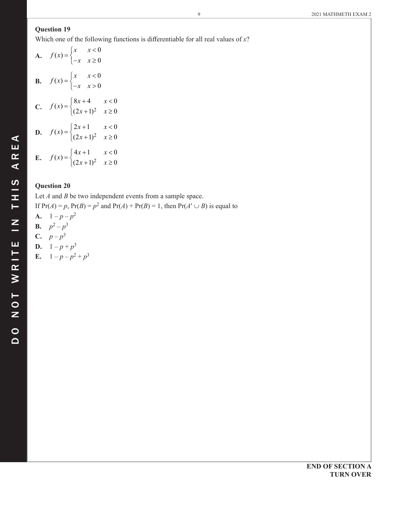Which one of the following functions is differentiable for all real values of *x*?

**A.** 
$$
f(x) = \begin{cases} x & x < 0 \\ -x & x \ge 0 \end{cases}
$$
  
\n**B.**  $f(x) = \begin{cases} x & x < 0 \\ -x & x > 0 \end{cases}$   
\n**C.**  $f(x) = \begin{cases} 8x + 4 & x < 0 \\ (2x + 1)^2 & x \ge 0 \end{cases}$   
\n**D.**  $f(x) = \begin{cases} 2x + 1 & x < 0 \\ (2x + 1)^2 & x \ge 0 \end{cases}$   
\n**E.**  $f(x) = \begin{cases} 4x + 1 & x < 0 \\ (2x + 1)^2 & x \ge 0 \end{cases}$ 

#### **Question 20**

Let *A* and *B* be two independent events from a sample space.

If  $Pr(A) = p$ ,  $Pr(B) = p^2$  and  $Pr(A) + Pr(B) = 1$ , then  $Pr(A' \cup B)$  is equal to

- **A.**  $1 p p^2$
- **B.**  $p^2 p^3$
- **C.**  $p p^3$
- **D.**  $1 p + p^3$
- **E.**  $1 p p^2 + p^3$

 $\blacktriangleleft$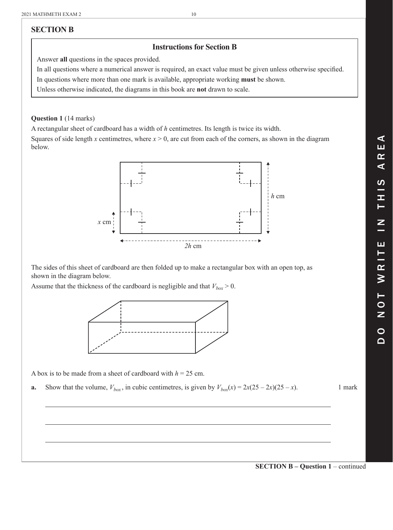## **SECTION B**

## **Instructions for Section B**

Answer **all** questions in the spaces provided.

In all questions where a numerical answer is required, an exact value must be given unless otherwise specified. In questions where more than one mark is available, appropriate working **must** be shown.

Unless otherwise indicated, the diagrams in this book are **not** drawn to scale.

#### **Question 1** (14 marks)

A rectangular sheet of cardboard has a width of *h* centimetres. Its length is twice its width.

Squares of side length *x* centimetres, where  $x > 0$ , are cut from each of the corners, as shown in the diagram below.



The sides of this sheet of cardboard are then folded up to make a rectangular box with an open top, as shown in the diagram below.

Assume that the thickness of the cardboard is negligible and that  $V_{box} > 0$ .



A box is to be made from a sheet of cardboard with  $h = 25$  cm.

**a.** Show that the volume,  $V_{box}$ , in cubic centimetres, is given by  $V_{box}(x) = 2x(25 - 2x)(25 - x)$ . 1 mark

 $\blacktriangleleft$ d o n o t w r i t e i n t h i s a r e a  $\blacktriangleleft$ ທ Ī. Z Н ⋛  $\blacksquare$ Z  $\overline{\mathsf{d}}$ 

**SECTION B – Question 1** – continued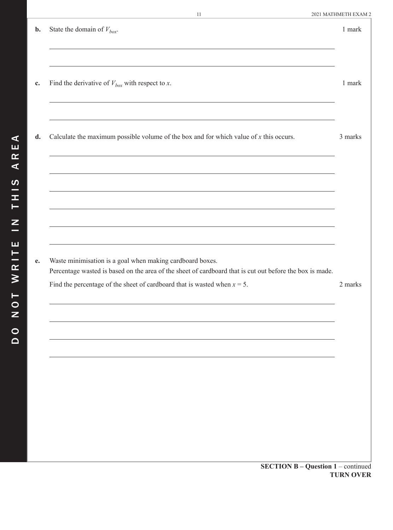| $b$ . | State the domain of $V_{box}$ .                                                                                                                                       | 1 mark           |
|-------|-----------------------------------------------------------------------------------------------------------------------------------------------------------------------|------------------|
| c.    | Find the derivative of $V_{box}$ with respect to x.                                                                                                                   | 1 mark           |
| d.    | Calculate the maximum possible volume of the box and for which value of $x$ this occurs.                                                                              | 3 marks          |
|       |                                                                                                                                                                       |                  |
|       |                                                                                                                                                                       |                  |
| e.    | Waste minimisation is a goal when making cardboard boxes.<br>Percentage wasted is based on the area of the sheet of cardboard that is cut out before the box is made. |                  |
|       | Find the percentage of the sheet of cardboard that is wasted when $x = 5$ .                                                                                           | 2 marks          |
|       |                                                                                                                                                                       |                  |
|       |                                                                                                                                                                       |                  |
|       |                                                                                                                                                                       |                  |
|       | <b>SECTION B - Question 1 - continued</b>                                                                                                                             |                  |
|       |                                                                                                                                                                       | <b>TURN OVER</b> |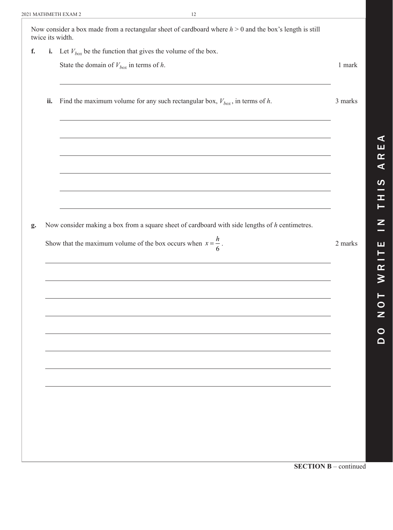|     | i. Let $V_{box}$ be the function that gives the volume of the box.                               |         |
|-----|--------------------------------------------------------------------------------------------------|---------|
|     | State the domain of $V_{box}$ in terms of h.                                                     | 1 mark  |
| ii. | Find the maximum volume for any such rectangular box, $V_{box}$ , in terms of h.                 | 3 marks |
|     |                                                                                                  |         |
|     |                                                                                                  |         |
|     |                                                                                                  |         |
|     |                                                                                                  |         |
|     | Now consider making a box from a square sheet of cardboard with side lengths of $h$ centimetres. |         |
|     |                                                                                                  |         |
|     | Show that the maximum volume of the box occurs when $x = \frac{h}{6}$ .                          |         |
|     |                                                                                                  |         |
|     |                                                                                                  |         |
|     |                                                                                                  |         |
|     |                                                                                                  |         |
|     |                                                                                                  |         |
|     |                                                                                                  |         |
|     |                                                                                                  |         |
|     |                                                                                                  |         |
|     |                                                                                                  |         |
|     |                                                                                                  |         |
|     |                                                                                                  |         |
|     |                                                                                                  | 2 marks |
|     |                                                                                                  |         |
|     |                                                                                                  |         |
|     |                                                                                                  |         |

d o n o t w r i t e i n t h i s a r e a  $\equiv$  $\pmb{\alpha}$  $\geq$  $\begin{array}{c}\n\mathsf{T} \\
\mathsf{O}\n\end{array}$  $\mathbf{z}$  $\bullet$  $\Omega$ 

 $\blacktriangleleft$ ш  $\pmb{\alpha}$  $\blacktriangleleft$ 

 $\boldsymbol{\omega}$ — Ŧ,  $\vdash$ 

 $\mathbf{z}$  $\equiv$ 

ш

**SECTION B** – continued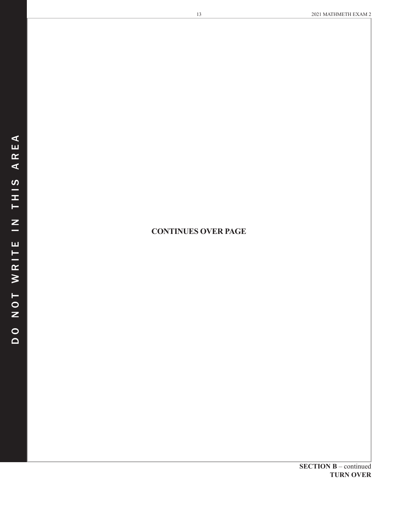## **CONTINUES OVER PAGE**

**SECTION B** – continued **TURN OVER**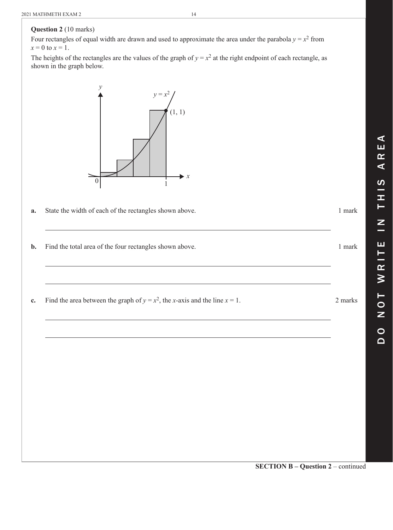### **Question 2** (10 marks)

Four rectangles of equal width are drawn and used to approximate the area under the parabola  $y = x^2$  from  $x = 0$  to  $x = 1$ .

The heights of the rectangles are the values of the graph of  $y = x^2$  at the right endpoint of each rectangle, as shown in the graph below.



- **a.** State the width of each of the rectangles shown above. 1 mark
- **b.** Find the total area of the four rectangles shown above. 1 mark
- **c.** Find the area between the graph of  $y = x^2$ , the *x*-axis and the line  $x = 1$ . 2 marks

 $\blacktriangleleft$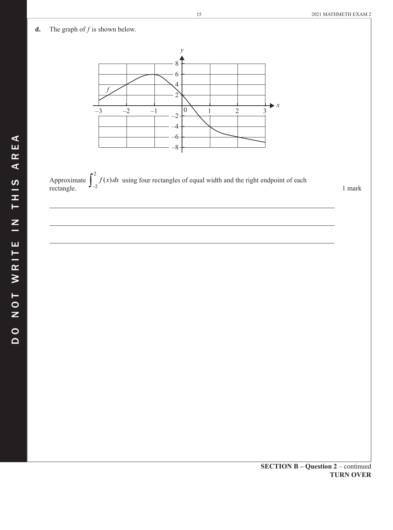#### **d.** The graph of  $f$  is shown below.



Approximate  $\int_{-2}^{2} f(x) dx$ using four rectangles of equal width and the right endpoint of each rectangle.  $\frac{1}{2}$  and  $\frac{1}{2}$  mark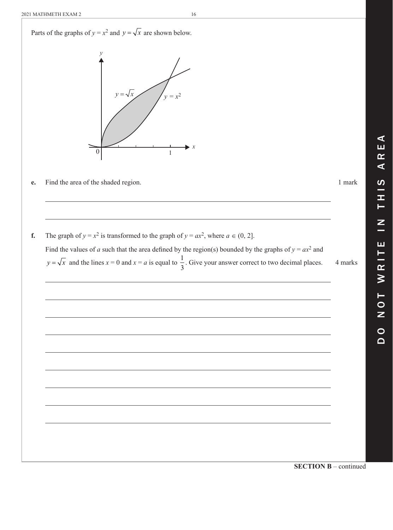

**SECTION B** – continued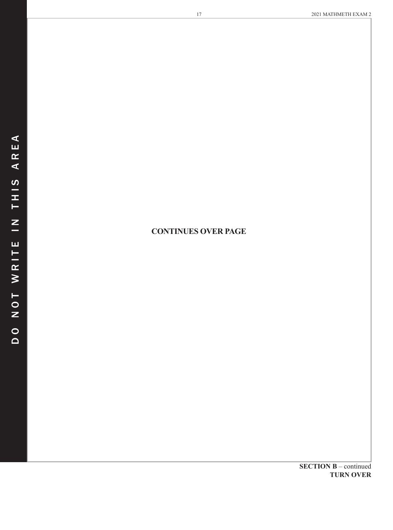## **CONTINUES OVER PAGE**

**SECTION B** – continued **TURN OVER**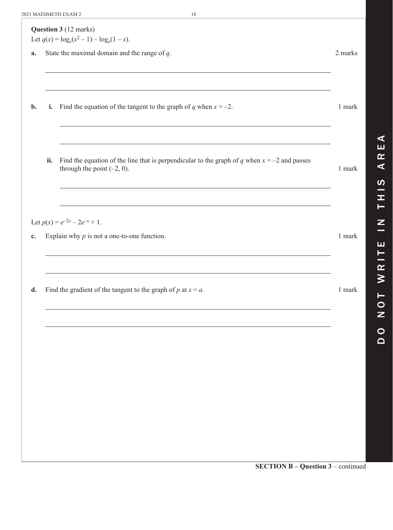| a.       | State the maximal domain and the range of $q$ .                                                                                 | 2 marks |
|----------|---------------------------------------------------------------------------------------------------------------------------------|---------|
| i.<br>b. | Find the equation of the tangent to the graph of q when $x = -2$ .                                                              | 1 mark  |
| ii.      | Find the equation of the line that is perpendicular to the graph of q when $x = -2$ and passes<br>through the point $(-2, 0)$ . | 1 mark  |
| c.       | Let $p(x) = e^{-2x} - 2e^{-x} + 1$ .<br>Explain why $p$ is not a one-to-one function.                                           | 1 mark  |
| d.       | Find the gradient of the tangent to the graph of $p$ at $x = a$ .                                                               | 1 mark  |
|          |                                                                                                                                 |         |
|          |                                                                                                                                 |         |

d o n o t w r i t e i n t h i s a r e a

ш

WRIT

TON

 $\begin{array}{c}\n0 \\
0\n\end{array}$ 

 $\overline{z}$ 

 $\blacktriangleleft$ ш  $\pmb{\alpha}$  $\blacktriangleleft$ 

 $\boldsymbol{\omega}$ — H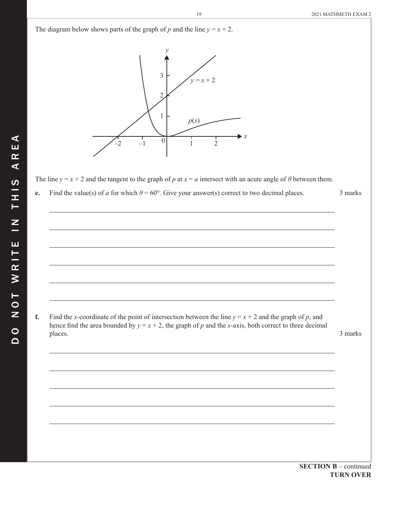The diagram below shows parts of the graph of *p* and the line  $y = x + 2$ .  $\begin{bmatrix} -2 & -1 & 0 \\ 1 & 2 \end{bmatrix}$  1 2 3  $\overline{\mathcal{L}}$ 1 *y*  $y = x + 2$ *p*(*x*)  $\blacktriangleright$  *x* The line  $y = x + 2$  and the tangent to the graph of *p* at  $x = a$  intersect with an acute angle of *θ* between them. **e.** Find the value(s) of *a* for which  $\theta = 60^\circ$ . Give your answer(s) correct to two decimal places. 3 marks **f.** Find the *x*-coordinate of the point of intersection between the line  $y = x + 2$  and the graph of *p*, and hence find the area bounded by  $y = x + 2$ , the graph of *p* and the *x*-axis, both correct to three decimal places. 3 marks

 $\blacktriangleleft$ 

**SECTION B** – continued **TURN OVER**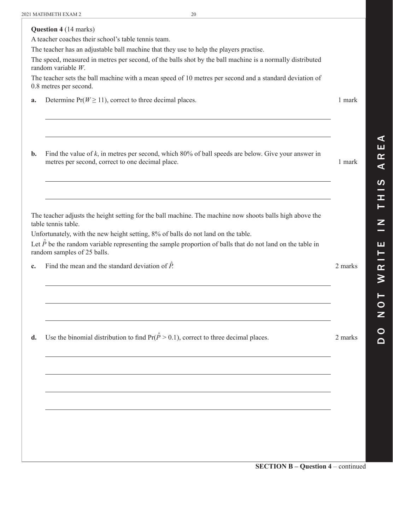|    | <b>Question 4 (14 marks)</b><br>A teacher coaches their school's table tennis team.<br>The teacher has an adjustable ball machine that they use to help the players practise.<br>The speed, measured in metres per second, of the balls shot by the ball machine is a normally distributed<br>random variable $W$ .<br>The teacher sets the ball machine with a mean speed of 10 metres per second and a standard deviation of<br>0.8 metres per second. |         |
|----|----------------------------------------------------------------------------------------------------------------------------------------------------------------------------------------------------------------------------------------------------------------------------------------------------------------------------------------------------------------------------------------------------------------------------------------------------------|---------|
| a. | Determine $Pr(W \ge 11)$ , correct to three decimal places.                                                                                                                                                                                                                                                                                                                                                                                              | 1 mark  |
| b. | Find the value of $k$ , in metres per second, which 80% of ball speeds are below. Give your answer in<br>metres per second, correct to one decimal place.                                                                                                                                                                                                                                                                                                | 1 mark  |
|    | The teacher adjusts the height setting for the ball machine. The machine now shoots balls high above the<br>table tennis table.<br>Unfortunately, with the new height setting, 8% of balls do not land on the table.<br>Let $\hat{P}$ be the random variable representing the sample proportion of balls that do not land on the table in<br>random samples of 25 balls.                                                                                 |         |
| c. | Find the mean and the standard deviation of $\hat{P}$ .                                                                                                                                                                                                                                                                                                                                                                                                  | 2 marks |
|    |                                                                                                                                                                                                                                                                                                                                                                                                                                                          |         |
| d. | Use the binomial distribution to find $Pr(\hat{P} > 0.1)$ , correct to three decimal places.                                                                                                                                                                                                                                                                                                                                                             | 2 marks |
|    |                                                                                                                                                                                                                                                                                                                                                                                                                                                          |         |
|    |                                                                                                                                                                                                                                                                                                                                                                                                                                                          |         |
|    |                                                                                                                                                                                                                                                                                                                                                                                                                                                          |         |
|    |                                                                                                                                                                                                                                                                                                                                                                                                                                                          |         |
|    |                                                                                                                                                                                                                                                                                                                                                                                                                                                          |         |
|    | <b>SECTION B - Question 4 - continued</b>                                                                                                                                                                                                                                                                                                                                                                                                                |         |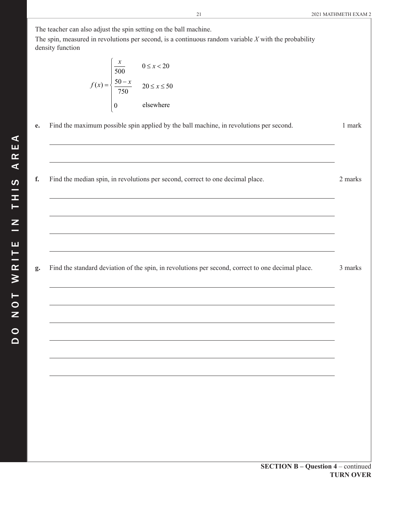The teacher can also adjust the spin setting on the ball machine.

The spin, measured in revolutions per second, is a continuous random variable *X* with the probability density function

$$
f(x) = \begin{cases} \frac{x}{500} & 0 \le x < 20\\ \frac{50 - x}{750} & 20 \le x \le 50\\ 0 & \text{elsewhere} \end{cases}
$$

- **e.** Find the maximum possible spin applied by the ball machine, in revolutions per second. 1 mark
- **f.** Find the median spin, in revolutions per second, correct to one decimal place. 2 marks

**g.** Find the standard deviation of the spin, in revolutions per second, correct to one decimal place. 3 marks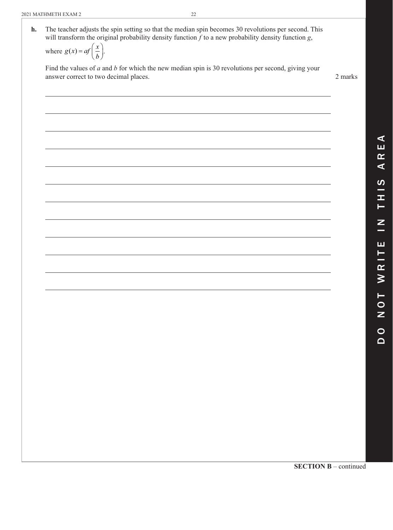| <b>h.</b> The teacher adjusts the spin setting so that the median spin becomes 30 revolutions per second. This |
|----------------------------------------------------------------------------------------------------------------|
| will transform the original probability density function $f$ to a new probability density function $g$ ,       |
| c(x)<br>$\mathbf{1}$ $\mathbf{1}$                                                                              |

where  $g(x) = af\left(\frac{x}{b}\right)$ .

 Find the values of *a* and *b* for which the new median spin is 30 revolutions per second, giving your answer correct to two decimal places. 2 marks

**SECTION B** – continued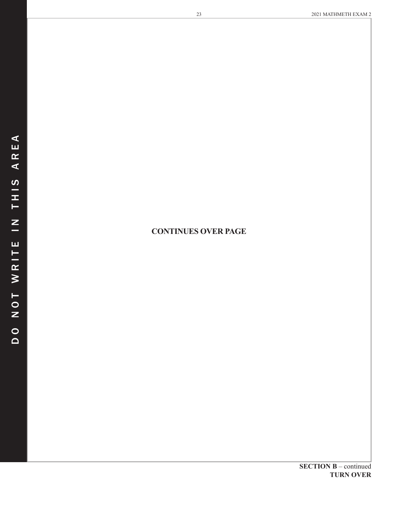## **CONTINUES OVER PAGE**

**SECTION B** – continued **TURN OVER**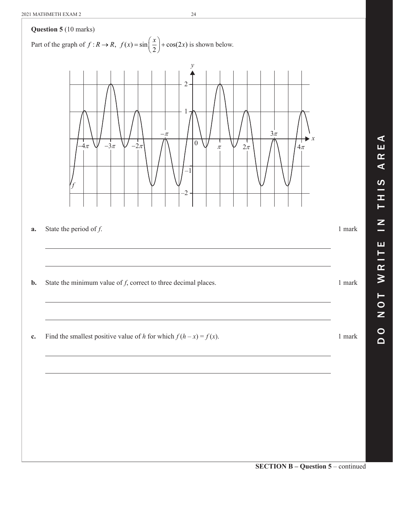

d o n o t w r i t e i n t h i s a r e a

ш Н

 $\pmb{\alpha}$  $\geq$ 

Н  $\bullet$ Z

 $\circ$  $\overline{\mathbf{C}}$ 

 $\mathbf{z}$ -

 $\blacktriangleleft$ ш  $\alpha$  $\blacktriangleleft$ 

 $\boldsymbol{\omega}$ 

Ŧ. Н

**SECTION B – Question 5** – continued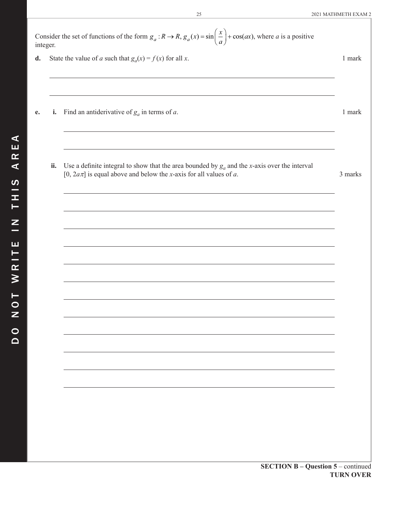25 2021 MATHMETH EXAM 2

| Consider the set of functions of the form $g_a : R \to R$ , $g_a(x) = \sin\left(\frac{x}{a}\right) + \cos(ax)$ , where a is a positive<br>integer. |     |                                                                                                                                                                                           |                  |  |  |  |
|----------------------------------------------------------------------------------------------------------------------------------------------------|-----|-------------------------------------------------------------------------------------------------------------------------------------------------------------------------------------------|------------------|--|--|--|
| d.                                                                                                                                                 |     | State the value of a such that $g_a(x) = f(x)$ for all x.                                                                                                                                 |                  |  |  |  |
|                                                                                                                                                    |     |                                                                                                                                                                                           |                  |  |  |  |
| e.                                                                                                                                                 |     | <b>i.</b> Find an antiderivative of $g_a$ in terms of a.                                                                                                                                  | 1 mark           |  |  |  |
|                                                                                                                                                    | ii. | Use a definite integral to show that the area bounded by $g_a$ and the x-axis over the interval<br>[0, $2a\pi$ ] is equal above and below the <i>x</i> -axis for all values of <i>a</i> . | 3 marks          |  |  |  |
|                                                                                                                                                    |     |                                                                                                                                                                                           |                  |  |  |  |
|                                                                                                                                                    |     |                                                                                                                                                                                           |                  |  |  |  |
|                                                                                                                                                    |     |                                                                                                                                                                                           |                  |  |  |  |
|                                                                                                                                                    |     |                                                                                                                                                                                           |                  |  |  |  |
|                                                                                                                                                    |     |                                                                                                                                                                                           |                  |  |  |  |
|                                                                                                                                                    |     |                                                                                                                                                                                           |                  |  |  |  |
|                                                                                                                                                    |     |                                                                                                                                                                                           |                  |  |  |  |
|                                                                                                                                                    |     |                                                                                                                                                                                           |                  |  |  |  |
|                                                                                                                                                    |     |                                                                                                                                                                                           |                  |  |  |  |
|                                                                                                                                                    |     | <b>SECTION B - Question 5 - continued</b>                                                                                                                                                 |                  |  |  |  |
|                                                                                                                                                    |     |                                                                                                                                                                                           | <b>TURN OVER</b> |  |  |  |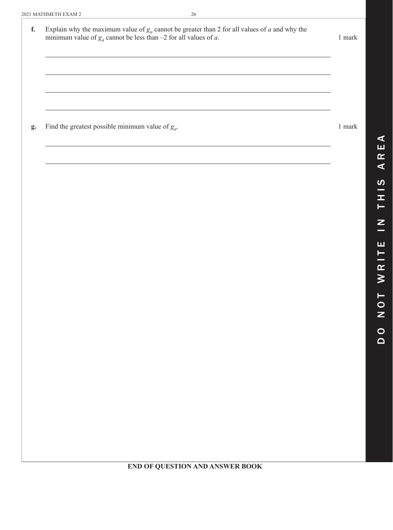| f. | Explain why the maximum value of $g_a$ cannot be greater than 2 for all values of a and why the minimum value of $g_a$ cannot be less than $-2$ for all values of a. | $1\text{ mark}$ |
|----|----------------------------------------------------------------------------------------------------------------------------------------------------------------------|-----------------|
|    |                                                                                                                                                                      |                 |
|    |                                                                                                                                                                      |                 |
| g. | Find the greatest possible minimum value of $g_a$ .                                                                                                                  | $1\text{ mark}$ |
|    |                                                                                                                                                                      |                 |
|    |                                                                                                                                                                      |                 |
|    |                                                                                                                                                                      |                 |
|    |                                                                                                                                                                      |                 |
|    |                                                                                                                                                                      |                 |
|    |                                                                                                                                                                      |                 |
|    |                                                                                                                                                                      |                 |
|    |                                                                                                                                                                      |                 |
|    |                                                                                                                                                                      |                 |

d o n o t w r i t e i n t h i s a r e a

ш

WRITI

TON

 $\begin{array}{c}\n0 \\
0\n\end{array}$ 

 $\overline{z}$ 

THIS

 $\blacktriangleleft$ ய  $\alpha$  $\blacktriangleleft$ 

**END OF QUESTION AND ANSWER BOOK**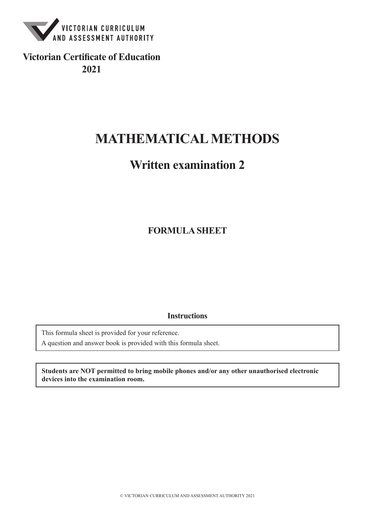

**Victorian Certificate of Education 2021**

# **MATHEMATICAL METHODS**

# **Written examination 2**

**FORMULA SHEET**

**Instructions**

This formula sheet is provided for your reference.

A question and answer book is provided with this formula sheet.

**Students are NOT permitted to bring mobile phones and/or any other unauthorised electronic devices into the examination room.**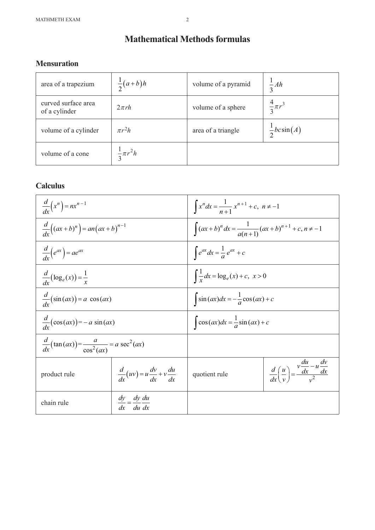## **Mathematical Methods formulas**

## **Mensuration**

| area of a trapezium                  | $\frac{1}{2}(a+b)h$    | volume of a pyramid | $\frac{1}{3}Ah$        |
|--------------------------------------|------------------------|---------------------|------------------------|
| curved surface area<br>of a cylinder | $2\pi rh$              | volume of a sphere  | $\frac{4}{3}\pi r^3$   |
| volume of a cylinder                 | $\pi r^2 h$            | area of a triangle  | $\frac{1}{2}bc\sin(A)$ |
| volume of a cone                     | $\frac{1}{2}\pi r^2 h$ |                     |                        |

## **Calculus**

| $\frac{d}{dx}\left(x^n\right) = nx^{n-1}$                            |  | $\int x^n dx = \frac{1}{n+1} x^{n+1} + c, \; n \neq -1$          |                                                                                    |  |
|----------------------------------------------------------------------|--|------------------------------------------------------------------|------------------------------------------------------------------------------------|--|
| $\frac{d}{dx}((ax+b)^n) = an(ax+b)^{n-1}$                            |  | $\int (ax+b)^n dx = \frac{1}{a(n+1)}(ax+b)^{n+1} + c, n \neq -1$ |                                                                                    |  |
| $\frac{d}{dx}(e^{ax}) = ae^{ax}$                                     |  | $\int e^{ax} dx = \frac{1}{a} e^{ax} + c$                        |                                                                                    |  |
| $\frac{d}{dx}(\log_e(x)) = \frac{1}{x}$                              |  | $\int \frac{1}{x} dx = \log_e(x) + c, \ x > 0$                   |                                                                                    |  |
| $\frac{a}{dx}(\sin(ax)) = a \cos(ax)$                                |  | $\int \sin(ax)dx = -\frac{1}{a}\cos(ax) + c$                     |                                                                                    |  |
| $\frac{d}{dx}(\cos(ax))=-a\sin(ax)$                                  |  | $\int \cos(ax)dx = \frac{1}{a}\sin(ax) + c$                      |                                                                                    |  |
| $\frac{d}{dx}(\tan(ax)) = \frac{a}{\cos^2(ax)} = a \sec^2(ax)$       |  |                                                                  |                                                                                    |  |
| $\frac{d}{dx}(uv) = u\frac{dv}{dx} + v\frac{du}{dx}$<br>product rule |  | quotient rule                                                    | $\frac{d}{dx}\left(\frac{u}{v}\right) = \frac{v\frac{du}{dx} - u\frac{dv}{dx}}{2}$ |  |
| $\frac{dy}{dx} = \frac{dy}{dx} \frac{du}{dx}$<br>chain rule          |  |                                                                  |                                                                                    |  |